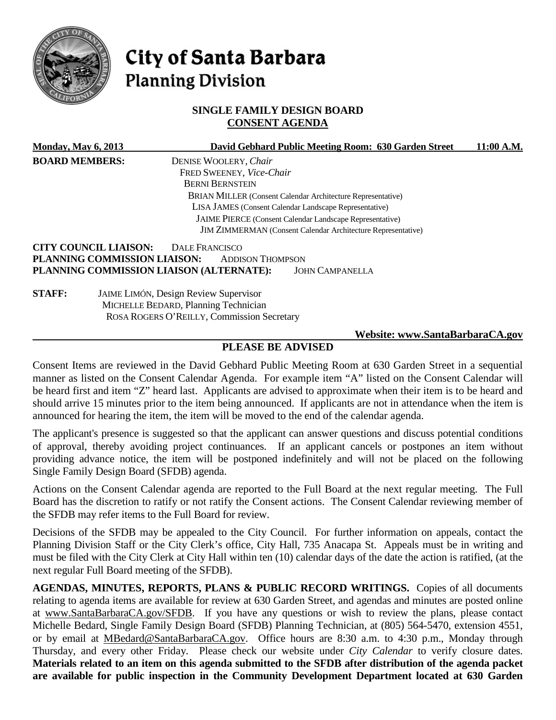

# City of Santa Barbara **Planning Division**

## **SINGLE FAMILY DESIGN BOARD CONSENT AGENDA**

| <b>Monday, May 6, 2013</b>                                                                                         |                              | David Gebhard Public Meeting Room: 630 Garden Street                | 11:00 A.M. |
|--------------------------------------------------------------------------------------------------------------------|------------------------------|---------------------------------------------------------------------|------------|
| <b>BOARD MEMBERS:</b>                                                                                              |                              | DENISE WOOLERY, Chair                                               |            |
|                                                                                                                    |                              | FRED SWEENEY, Vice-Chair                                            |            |
|                                                                                                                    |                              | <b>BERNI BERNSTEIN</b>                                              |            |
|                                                                                                                    |                              | <b>BRIAN MILLER (Consent Calendar Architecture Representative)</b>  |            |
|                                                                                                                    |                              |                                                                     |            |
| LISA JAMES (Consent Calendar Landscape Representative)<br>JAIME PIERCE (Consent Calendar Landscape Representative) |                              |                                                                     |            |
|                                                                                                                    |                              | <b>JIM ZIMMERMAN</b> (Consent Calendar Architecture Representative) |            |
|                                                                                                                    | <b>CITY COUNCIL LIAISON:</b> | <b>DALE FRANCISCO</b>                                               |            |
|                                                                                                                    | PLANNING COMMISSION LIAISON: | <b>ADDISON THOMPSON</b>                                             |            |
|                                                                                                                    |                              | PLANNING COMMISSION LIAISON (ALTERNATE):<br><b>JOHN CAMPANELLA</b>  |            |
| <b>STAFF:</b>                                                                                                      |                              | <b>JAIME LIMÓN, Design Review Supervisor</b>                        |            |
|                                                                                                                    |                              | MICHELLE BEDARD, Planning Technician                                |            |
|                                                                                                                    |                              | ROSA ROGERS O'REILLY, Commission Secretary                          |            |
|                                                                                                                    |                              | Website: www.SantaBarbaraCA.gov                                     |            |

# **PLEASE BE ADVISED**

Consent Items are reviewed in the David Gebhard Public Meeting Room at 630 Garden Street in a sequential manner as listed on the Consent Calendar Agenda. For example item "A" listed on the Consent Calendar will be heard first and item "Z" heard last. Applicants are advised to approximate when their item is to be heard and should arrive 15 minutes prior to the item being announced. If applicants are not in attendance when the item is announced for hearing the item, the item will be moved to the end of the calendar agenda.

The applicant's presence is suggested so that the applicant can answer questions and discuss potential conditions of approval, thereby avoiding project continuances. If an applicant cancels or postpones an item without providing advance notice, the item will be postponed indefinitely and will not be placed on the following Single Family Design Board (SFDB) agenda.

Actions on the Consent Calendar agenda are reported to the Full Board at the next regular meeting. The Full Board has the discretion to ratify or not ratify the Consent actions. The Consent Calendar reviewing member of the SFDB may refer items to the Full Board for review.

Decisions of the SFDB may be appealed to the City Council. For further information on appeals, contact the Planning Division Staff or the City Clerk's office, City Hall, 735 Anacapa St. Appeals must be in writing and must be filed with the City Clerk at City Hall within ten (10) calendar days of the date the action is ratified, (at the next regular Full Board meeting of the SFDB).

**AGENDAS, MINUTES, REPORTS, PLANS & PUBLIC RECORD WRITINGS.** Copies of all documents relating to agenda items are available for review at 630 Garden Street, and agendas and minutes are posted online at [www.SantaBarbaraCA.gov/SFDB.](http://www.santabarbaraca.gov/ABR) If you have any questions or wish to review the plans, please contact Michelle Bedard, Single Family Design Board (SFDB) Planning Technician, at (805) 564-5470, extension 4551, or by email at [MBedard@SantaBarbaraCA.gov.](mailto:MBedard@SantaBarbaraCA.gov) Office hours are 8:30 a.m. to 4:30 p.m., Monday through Thursday, and every other Friday. Please check our website under *City Calendar* to verify closure dates. **Materials related to an item on this agenda submitted to the SFDB after distribution of the agenda packet are available for public inspection in the Community Development Department located at 630 Garden**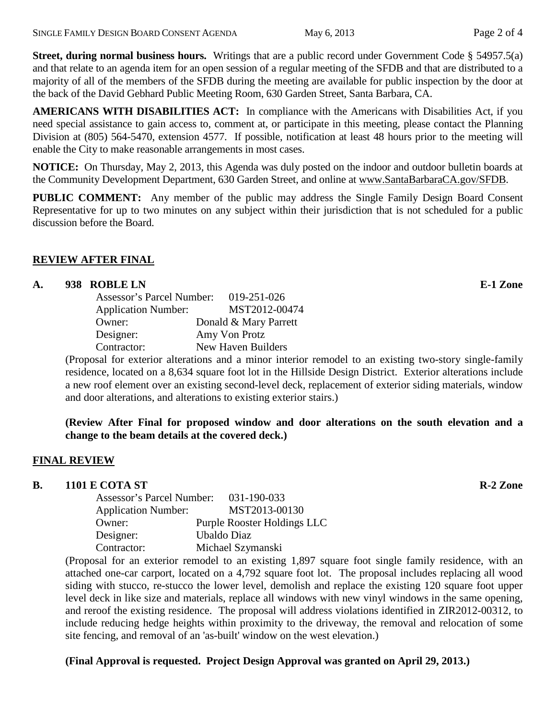**Street, during normal business hours.** Writings that are a public record under Government Code § 54957.5(a) and that relate to an agenda item for an open session of a regular meeting of the SFDB and that are distributed to a majority of all of the members of the SFDB during the meeting are available for public inspection by the door at the back of the David Gebhard Public Meeting Room, 630 Garden Street, Santa Barbara, CA.

**AMERICANS WITH DISABILITIES ACT:** In compliance with the Americans with Disabilities Act, if you need special assistance to gain access to, comment at, or participate in this meeting, please contact the Planning Division at (805) 564-5470, extension 4577. If possible, notification at least 48 hours prior to the meeting will enable the City to make reasonable arrangements in most cases.

**NOTICE:** On Thursday, May 2, 2013, this Agenda was duly posted on the indoor and outdoor bulletin boards at the Community Development Department, 630 Garden Street, and online at [www.SantaBarbaraCA.gov/SFDB.](http://www.santabarbaraca.gov/sfdb)

**PUBLIC COMMENT:** Any member of the public may address the Single Family Design Board Consent Representative for up to two minutes on any subject within their jurisdiction that is not scheduled for a public discussion before the Board.

#### **REVIEW AFTER FINAL**

#### **A. 938 ROBLE LN E-1 Zone**

| Assessor's Parcel Number:  | $019 - 251 - 026$     |
|----------------------------|-----------------------|
| <b>Application Number:</b> | MST2012-00474         |
| Owner:                     | Donald & Mary Parrett |
| Designer:                  | Amy Von Protz         |
| Contractor:                | New Haven Builders    |

(Proposal for exterior alterations and a minor interior remodel to an existing two-story single-family residence, located on a 8,634 square foot lot in the Hillside Design District. Exterior alterations include a new roof element over an existing second-level deck, replacement of exterior siding materials, window and door alterations, and alterations to existing exterior stairs.)

#### **(Review After Final for proposed window and door alterations on the south elevation and a change to the beam details at the covered deck.)**

#### **FINAL REVIEW**

### **B. 1101 E COTA ST R-2 Zone**

| <b>Assessor's Parcel Number:</b> | 031-190-033                 |
|----------------------------------|-----------------------------|
| <b>Application Number:</b>       | MST2013-00130               |
| Owner:                           | Purple Rooster Holdings LLC |
| Designer:                        | Ubaldo Diaz                 |
| Contractor:                      | Michael Szymanski           |
|                                  |                             |

(Proposal for an exterior remodel to an existing 1,897 square foot single family residence, with an attached one-car carport, located on a 4,792 square foot lot. The proposal includes replacing all wood siding with stucco, re-stucco the lower level, demolish and replace the existing 120 square foot upper level deck in like size and materials, replace all windows with new vinyl windows in the same opening, and reroof the existing residence. The proposal will address violations identified in ZIR2012-00312, to include reducing hedge heights within proximity to the driveway, the removal and relocation of some site fencing, and removal of an 'as-built' window on the west elevation.)

#### **(Final Approval is requested. Project Design Approval was granted on April 29, 2013.)**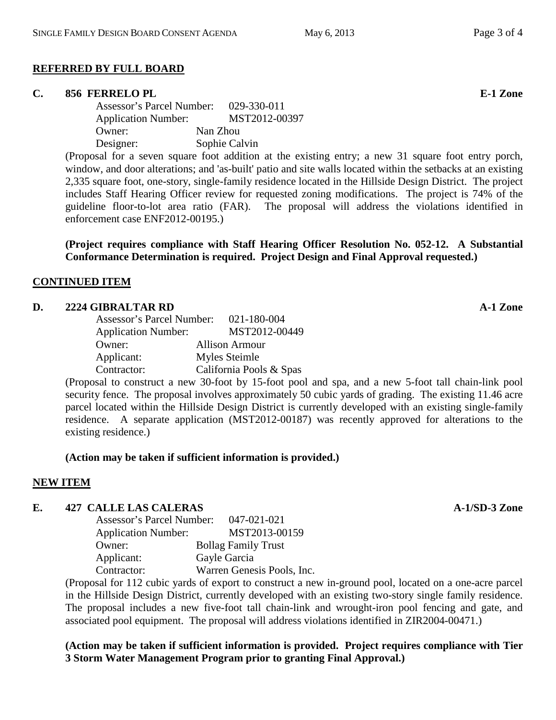# **REFERRED BY FULL BOARD**

# **C. 856 FERRELO PL E-1 Zone**

Assessor's Parcel Number: 029-330-011 Application Number: MST2012-00397 Owner: Nan Zhou Designer: Sophie Calvin

(Proposal for a seven square foot addition at the existing entry; a new 31 square foot entry porch, window, and door alterations; and 'as-built' patio and site walls located within the setbacks at an existing 2,335 square foot, one-story, single-family residence located in the Hillside Design District. The project includes Staff Hearing Officer review for requested zoning modifications. The project is 74% of the guideline floor-to-lot area ratio (FAR). The proposal will address the violations identified in enforcement case ENF2012-00195.)

**(Project requires compliance with Staff Hearing Officer Resolution No. 052-12. A Substantial Conformance Determination is required. Project Design and Final Approval requested.)**

# **CONTINUED ITEM**

## **D. 2224 GIBRALTAR RD A-1 Zone**

| Assessor's Parcel Number:  | 021-180-004             |
|----------------------------|-------------------------|
| <b>Application Number:</b> | MST2012-00449           |
| Owner:                     | <b>Allison Armour</b>   |
| Applicant:                 | Myles Steimle           |
| Contractor:                | California Pools & Spas |

(Proposal to construct a new 30-foot by 15-foot pool and spa, and a new 5-foot tall chain-link pool security fence. The proposal involves approximately 50 cubic yards of grading. The existing 11.46 acre parcel located within the Hillside Design District is currently developed with an existing single-family residence. A separate application (MST2012-00187) was recently approved for alterations to the existing residence.)

# **(Action may be taken if sufficient information is provided.)**

# **NEW ITEM**

# **E. 427 CALLE LAS CALERAS A-1/SD-3 Zone**

| Assessor's Parcel Number:  | 047-021-021                |
|----------------------------|----------------------------|
| <b>Application Number:</b> | MST2013-00159              |
| Owner:                     | <b>Bollag Family Trust</b> |
| Applicant:                 | Gayle Garcia               |
| Contractor:                | Warren Genesis Pools, Inc. |
|                            |                            |

(Proposal for 112 cubic yards of export to construct a new in-ground pool, located on a one-acre parcel in the Hillside Design District, currently developed with an existing two-story single family residence. The proposal includes a new five-foot tall chain-link and wrought-iron pool fencing and gate, and associated pool equipment. The proposal will address violations identified in ZIR2004-00471.)

**(Action may be taken if sufficient information is provided. Project requires compliance with Tier 3 Storm Water Management Program prior to granting Final Approval.)**